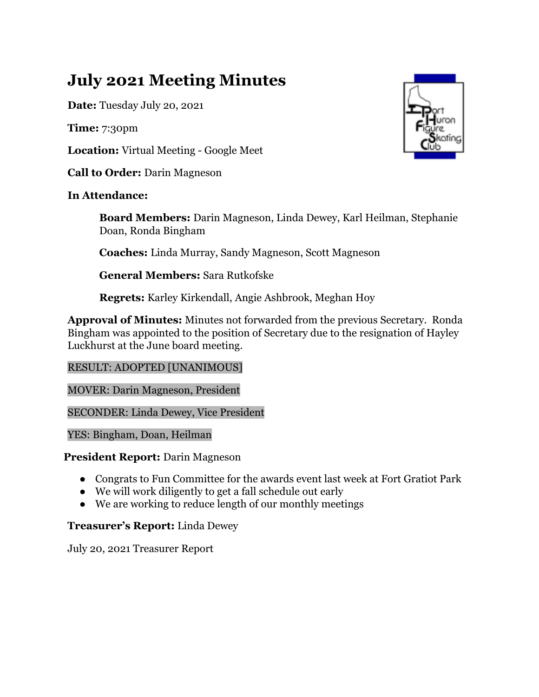# **July 2021 Meeting Minutes**

**Date:** Tuesday July 20, 2021

**Time:** 7:30pm

**Location:** Virtual Meeting - Google Meet

**Call to Order:** Darin Magneson

# **In Attendance:**

**Board Members:** Darin Magneson, Linda Dewey, Karl Heilman, Stephanie Doan, Ronda Bingham

**Coaches:** Linda Murray, Sandy Magneson, Scott Magneson

**General Members:** Sara Rutkofske

**Regrets:** Karley Kirkendall, Angie Ashbrook, Meghan Hoy

**Approval of Minutes:** Minutes not forwarded from the previous Secretary. Ronda Bingham was appointed to the position of Secretary due to the resignation of Hayley Luckhurst at the June board meeting.

# RESULT: ADOPTED [UNANIMOUS]

MOVER: Darin Magneson, President

SECONDER: Linda Dewey, Vice President

YES: Bingham, Doan, Heilman

## **President Report:** Darin Magneson

- Congrats to Fun Committee for the awards event last week at Fort Gratiot Park
- We will work diligently to get a fall schedule out early
- We are working to reduce length of our monthly meetings

## **Treasurer's Report:** Linda Dewey

July 20, 2021 Treasurer Report

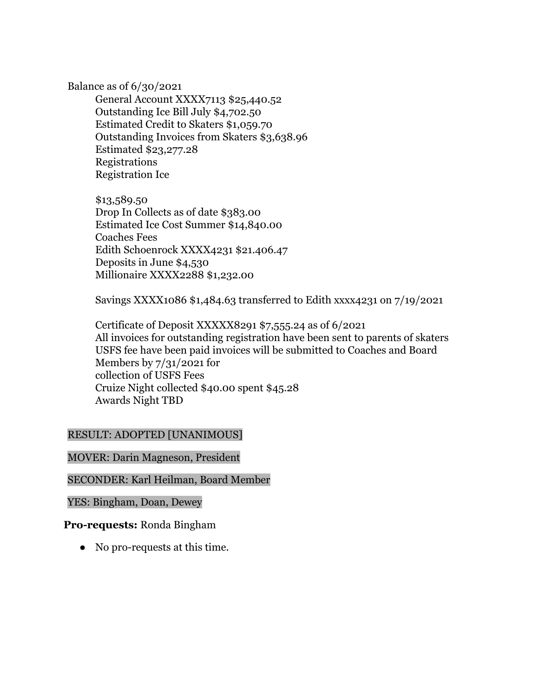#### Balance as of 6/30/2021

General Account XXXX7113 \$25,440.52 Outstanding Ice Bill July \$4,702.50 Estimated Credit to Skaters \$1,059.70 Outstanding Invoices from Skaters \$3,638.96 Estimated \$23,277.28 Registrations Registration Ice

\$13,589.50 Drop In Collects as of date \$383.00 Estimated Ice Cost Summer \$14,840.00 Coaches Fees Edith Schoenrock XXXX4231 \$21.406.47 Deposits in June \$4,530 Millionaire XXXX2288 \$1,232.00

Savings XXXX1086 \$1,484.63 transferred to Edith xxxx4231 on 7/19/2021

Certificate of Deposit XXXXX8291 \$7,555.24 as of 6/2021 All invoices for outstanding registration have been sent to parents of skaters USFS fee have been paid invoices will be submitted to Coaches and Board Members by 7/31/2021 for collection of USFS Fees Cruize Night collected \$40.00 spent \$45.28 Awards Night TBD

#### RESULT: ADOPTED [UNANIMOUS]

#### MOVER: Darin Magneson, President

## SECONDER: Karl Heilman, Board Member

#### YES: Bingham, Doan, Dewey

#### **Pro-requests:** Ronda Bingham

• No pro-requests at this time.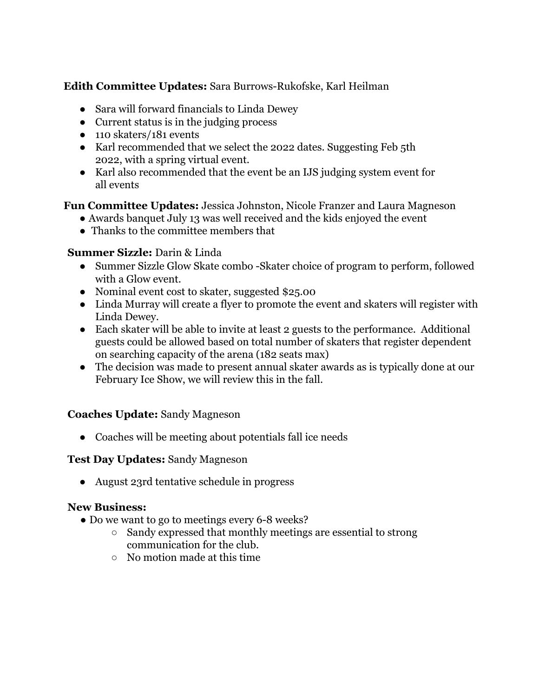# **Edith Committee Updates:** Sara Burrows-Rukofske, Karl Heilman

- Sara will forward financials to Linda Dewey
- Current status is in the judging process
- 110 skaters/181 events
- Karl recommended that we select the 2022 dates. Suggesting Feb 5th 2022, with a spring virtual event.
- Karl also recommended that the event be an IJS judging system event for all events

## **Fun Committee Updates:** Jessica Johnston, Nicole Franzer and Laura Magneson

- Awards banquet July 13 was well received and the kids enjoyed the event
- Thanks to the committee members that

## **Summer Sizzle:** Darin & Linda

- Summer Sizzle Glow Skate combo -Skater choice of program to perform, followed with a Glow event.
- Nominal event cost to skater, suggested \$25.00
- Linda Murray will create a flyer to promote the event and skaters will register with Linda Dewey.
- Each skater will be able to invite at least 2 guests to the performance. Additional guests could be allowed based on total number of skaters that register dependent on searching capacity of the arena (182 seats max)
- The decision was made to present annual skater awards as is typically done at our February Ice Show, we will review this in the fall.

## **Coaches Update:** Sandy Magneson

● Coaches will be meeting about potentials fall ice needs

## **Test Day Updates:** Sandy Magneson

● August 23rd tentative schedule in progress

## **New Business:**

- Do we want to go to meetings every 6-8 weeks?
	- Sandy expressed that monthly meetings are essential to strong communication for the club.
	- No motion made at this time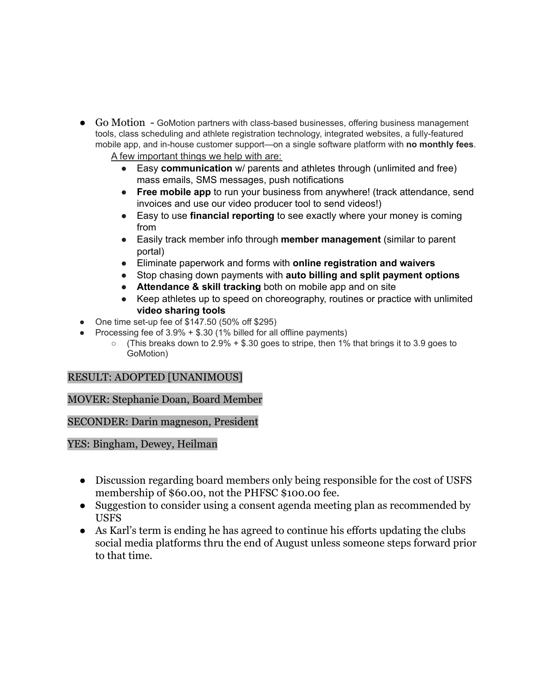- Go Motion GoMotion partners with class-based businesses, offering business management tools, class scheduling and athlete registration technology, integrated websites, a fully-featured mobile app, and in-house customer support—on a single software platform with **no monthly fees**. A few important things we help with are:
	- Easy **communication** w/ parents and athletes through (unlimited and free) mass emails, SMS messages, push notifications
	- **Free mobile app** to run your business from anywhere! (track attendance, send invoices and use our video producer tool to send videos!)
	- Easy to use **financial reporting** to see exactly where your money is coming from
	- Easily track member info through **member management** (similar to parent portal)
	- Eliminate paperwork and forms with **online registration and waivers**
	- Stop chasing down payments with **auto billing and split payment options**
	- **Attendance & skill tracking** both on mobile app and on site
	- Keep athletes up to speed on choreography, routines or practice with unlimited **video sharing tools**
- One time set-up fee of  $$147.50$  (50% off  $$295$ )
- Processing fee of  $3.9\% + $.30$  (1% billed for all offline payments)
	- (This breaks down to 2.9% + \$.30 goes to stripe, then 1% that brings it to 3.9 goes to GoMotion)

## RESULT: ADOPTED [UNANIMOUS]

## MOVER: Stephanie Doan, Board Member

SECONDER: Darin magneson, President

YES: Bingham, Dewey, Heilman

- Discussion regarding board members only being responsible for the cost of USFS membership of \$60.00, not the PHFSC \$100.00 fee.
- Suggestion to consider using a consent agenda meeting plan as recommended by USFS
- As Karl's term is ending he has agreed to continue his efforts updating the clubs social media platforms thru the end of August unless someone steps forward prior to that time.